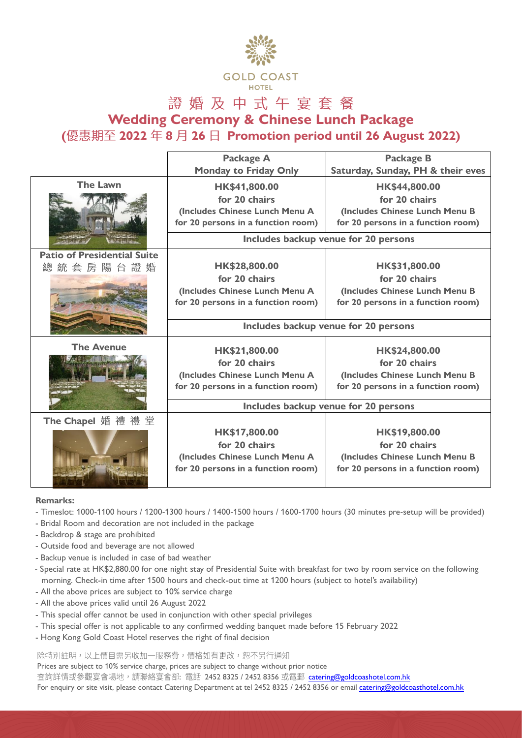

## 證婚及中式午宴套餐

**Wedding Ceremony & Chinese Lunch Package**

**( 2022 8 26 Promotion period until 26 August 2022)**

|                                    | Package A                            | <b>Package B</b>                   |
|------------------------------------|--------------------------------------|------------------------------------|
|                                    | <b>Monday to Friday Only</b>         | Saturday, Sunday, PH & their eves  |
| <b>The Lawn</b>                    | HK\$41,800.00                        | HK\$44,800.00                      |
|                                    | for 20 chairs                        | for 20 chairs                      |
|                                    | (Includes Chinese Lunch Menu A       | (Includes Chinese Lunch Menu B     |
|                                    | for 20 persons in a function room)   | for 20 persons in a function room) |
|                                    | Includes backup venue for 20 persons |                                    |
| <b>Patio of Presidential Suite</b> |                                      |                                    |
| 統套房陽台證婚<br>總                       | HK\$28,800.00                        | HK\$31,800.00                      |
|                                    | for 20 chairs                        | for 20 chairs                      |
|                                    | (Includes Chinese Lunch Menu A       | (Includes Chinese Lunch Menu B     |
|                                    | for 20 persons in a function room)   | for 20 persons in a function room) |
|                                    |                                      |                                    |
|                                    | Includes backup venue for 20 persons |                                    |
| <b>The Avenue</b>                  | HK\$21,800.00                        | HK\$24,800.00                      |
|                                    | for 20 chairs                        | for 20 chairs                      |
|                                    | (Includes Chinese Lunch Menu A       | (Includes Chinese Lunch Menu B     |
|                                    | for 20 persons in a function room)   | for 20 persons in a function room) |
|                                    |                                      |                                    |
|                                    | Includes backup venue for 20 persons |                                    |
| The Chapel 婚 禮 禮 堂                 |                                      |                                    |
|                                    | HK\$17,800.00                        | HK\$19,800.00                      |
|                                    | for 20 chairs                        | for 20 chairs                      |
|                                    | (Includes Chinese Lunch Menu A       | (Includes Chinese Lunch Menu B     |
|                                    | for 20 persons in a function room)   | for 20 persons in a function room) |
|                                    |                                      |                                    |

## **Remarks:**

- Timeslot: 1000-1100 hours / 1200-1300 hours / 1400-1500 hours / 1600-1700 hours (30 minutes pre-setup will be provided)
- Bridal Room and decoration are not included in the package
- Backdrop & stage are prohibited
- Outside food and beverage are not allowed
- Backup venue is included in case of bad weather
- Special rate at HK\$2,880.00 for one night stay of Presidential Suite with breakfast for two by room service on the following morning. Check-in time after 1500 hours and check-out time at 1200 hours (subject to hotel's availability)
- All the above prices are subject to 10% service charge
- All the above prices valid until 26 August 2022
- This special offer cannot be used in conjunction with other special privileges
- This special offer is not applicable to any confirmed wedding banquet made before 15 February 2022
- Hong Kong Gold Coast Hotel reserves the right of final decision

除特別註明,以上價目需另收加一服務費,價格如有更改,恕不另行通知

Prices are subject to 10% service charge, prices are subject to change without prior notice

查詢詳情或參觀宴會場地,請聯絡宴會部: 電話 2452 8325 / 2452 8356 或電郵 [catering@goldcoashotel.com.hk](mailto:catering@goldcoashotel.com.hk)

For enquiry or site visit, please contact Catering Department at tel 2452 8325 / 2452 8356 or email [catering@goldcoasthotel.com.hk](mailto:catering@goldcoasthotel.com.hk)